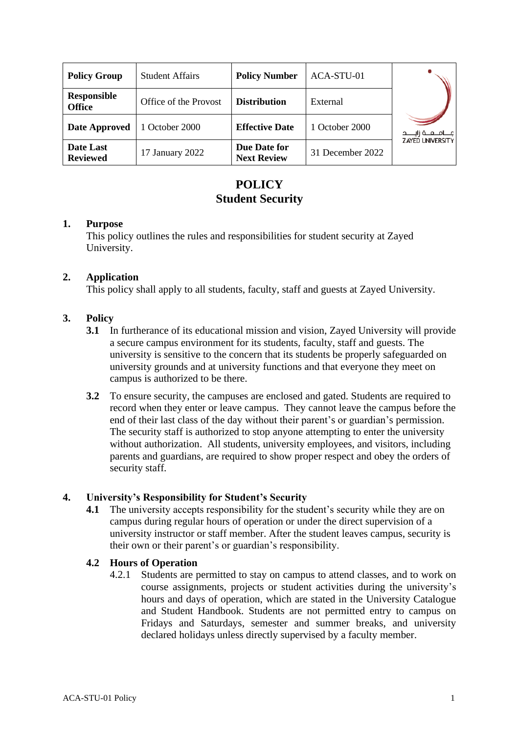| <b>Policy Group</b>                 | <b>Student Affairs</b> | <b>Policy Number</b>               | ACA-STU-01       |                           |
|-------------------------------------|------------------------|------------------------------------|------------------|---------------------------|
| <b>Responsible</b><br><b>Office</b> | Office of the Provost  | <b>Distribution</b>                | External         |                           |
| Date Approved                       | 1 October 2000         | <b>Effective Date</b>              | 1 October 2000   | مــــامـــعـــة زايـــــد |
| Date Last<br><b>Reviewed</b>        | 17 January 2022        | Due Date for<br><b>Next Review</b> | 31 December 2022 | <b>ZAYED UNIVERSITY</b>   |

# **POLICY Student Security**

## **1. Purpose**

This policy outlines the rules and responsibilities for student security at Zayed University.

# **2. Application**

This policy shall apply to all students, faculty, staff and guests at Zayed University.

# **3. Policy**

- **3.1** In furtherance of its educational mission and vision, Zayed University will provide a secure campus environment for its students, faculty, staff and guests. The university is sensitive to the concern that its students be properly safeguarded on university grounds and at university functions and that everyone they meet on campus is authorized to be there.
- **3.2** To ensure security, the campuses are enclosed and gated. Students are required to record when they enter or leave campus. They cannot leave the campus before the end of their last class of the day without their parent's or guardian's permission. The security staff is authorized to stop anyone attempting to enter the university without authorization. All students, university employees, and visitors, including parents and guardians, are required to show proper respect and obey the orders of security staff.

## **4. University's Responsibility for Student's Security**

**4.1** The university accepts responsibility for the student's security while they are on campus during regular hours of operation or under the direct supervision of a university instructor or staff member. After the student leaves campus, security is their own or their parent's or guardian's responsibility.

## **4.2 Hours of Operation**

4.2.1 Students are permitted to stay on campus to attend classes, and to work on course assignments, projects or student activities during the university's hours and days of operation, which are stated in the University Catalogue and Student Handbook. Students are not permitted entry to campus on Fridays and Saturdays, semester and summer breaks, and university declared holidays unless directly supervised by a faculty member.